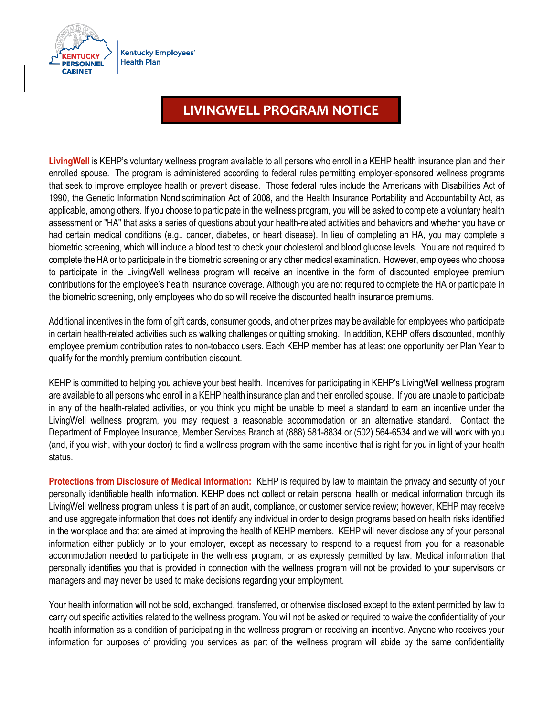

## **LIVINGWELL PROGRAM NOTICE**

**LivingWell** is KEHP's voluntary wellness program available to all persons who enroll in a KEHP health insurance plan and their enrolled spouse. The program is administered according to federal rules permitting employer-sponsored wellness programs that seek to improve employee health or prevent disease. Those federal rules include the Americans with Disabilities Act of 1990, the Genetic Information Nondiscrimination Act of 2008, and the Health Insurance Portability and Accountability Act, as applicable, among others. If you choose to participate in the wellness program, you will be asked to complete a voluntary health assessment or "HA" that asks a series of questions about your health-related activities and behaviors and whether you have or had certain medical conditions (e.g., cancer, diabetes, or heart disease). In lieu of completing an HA, you may complete a biometric screening, which will include a blood test to check your cholesterol and blood glucose levels. You are not required to complete the HA or to participate in the biometric screening or any other medical examination. However, employees who choose to participate in the LivingWell wellness program will receive an incentive in the form of discounted employee premium contributions for the employee's health insurance coverage. Although you are not required to complete the HA or participate in the biometric screening, only employees who do so will receive the discounted health insurance premiums.

Additional incentives in the form of gift cards, consumer goods, and other prizes may be available for employees who participate in certain health-related activities such as walking challenges or quitting smoking. In addition, KEHP offers discounted, monthly employee premium contribution rates to non-tobacco users. Each KEHP member has at least one opportunity per Plan Year to qualify for the monthly premium contribution discount.

KEHP is committed to helping you achieve your best health. Incentives for participating in KEHP's LivingWell wellness program are available to all persons who enroll in a KEHP health insurance plan and their enrolled spouse. If you are unable to participate in any of the health-related activities, or you think you might be unable to meet a standard to earn an incentive under the LivingWell wellness program, you may request a reasonable accommodation or an alternative standard. Contact the Department of Employee Insurance, Member Services Branch at (888) 581-8834 or (502) 564-6534 and we will work with you (and, if you wish, with your doctor) to find a wellness program with the same incentive that is right for you in light of your health status.

**Protections from Disclosure of Medical Information:** KEHP is required by law to maintain the privacy and security of your personally identifiable health information. KEHP does not collect or retain personal health or medical information through its LivingWell wellness program unless it is part of an audit, compliance, or customer service review; however, KEHP may receive and use aggregate information that does not identify any individual in order to design programs based on health risks identified in the workplace and that are aimed at improving the health of KEHP members. KEHP will never disclose any of your personal information either publicly or to your employer, except as necessary to respond to a request from you for a reasonable accommodation needed to participate in the wellness program, or as expressly permitted by law. Medical information that personally identifies you that is provided in connection with the wellness program will not be provided to your supervisors or managers and may never be used to make decisions regarding your employment.

Your health information will not be sold, exchanged, transferred, or otherwise disclosed except to the extent permitted by law to carry out specific activities related to the wellness program. You will not be asked or required to waive the confidentiality of your health information as a condition of participating in the wellness program or receiving an incentive. Anyone who receives your information for purposes of providing you services as part of the wellness program will abide by the same confidentiality